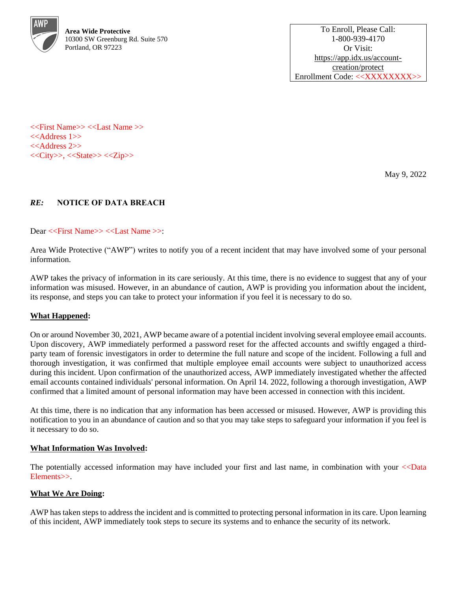

<<First Name>> <<Last Name >> <<Address 1>> <<Address 2>> <<City>>, <<State>> <<Zip>>

May 9, 2022

# *RE:* **NOTICE OF DATA BREACH**

Dear <<First Name>> <<Last Name >>:

Area Wide Protective ("AWP") writes to notify you of a recent incident that may have involved some of your personal information.

AWP takes the privacy of information in its care seriously. At this time, there is no evidence to suggest that any of your information was misused. However, in an abundance of caution, AWP is providing you information about the incident, its response, and steps you can take to protect your information if you feel it is necessary to do so.

## **What Happened:**

On or around November 30, 2021, AWP became aware of a potential incident involving several employee email accounts. Upon discovery, AWP immediately performed a password reset for the affected accounts and swiftly engaged a thirdparty team of forensic investigators in order to determine the full nature and scope of the incident. Following a full and thorough investigation, it was confirmed that multiple employee email accounts were subject to unauthorized access during this incident. Upon confirmation of the unauthorized access, AWP immediately investigated whether the affected email accounts contained individuals' personal information. On April 14. 2022, following a thorough investigation, AWP confirmed that a limited amount of personal information may have been accessed in connection with this incident.

At this time, there is no indication that any information has been accessed or misused. However, AWP is providing this notification to you in an abundance of caution and so that you may take steps to safeguard your information if you feel is it necessary to do so.

### **What Information Was Involved:**

The potentially accessed information may have included your first and last name, in combination with your <<Data Elements>>.

### **What We Are Doing:**

AWP has taken steps to address the incident and is committed to protecting personal information in its care. Upon learning of this incident, AWP immediately took steps to secure its systems and to enhance the security of its network.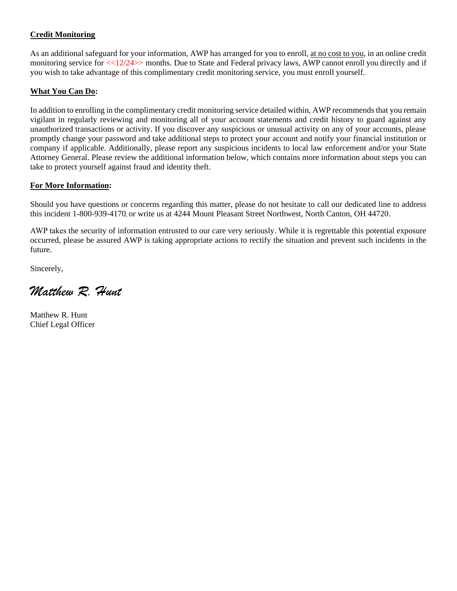## **Credit Monitoring**

As an additional safeguard for your information, AWP has arranged for you to enroll, at no cost to you, in an online credit monitoring service for  $\langle 12/24 \rangle$  months. Due to State and Federal privacy laws, AWP cannot enroll you directly and if you wish to take advantage of this complimentary credit monitoring service, you must enroll yourself.

## **What You Can Do:**

In addition to enrolling in the complimentary credit monitoring service detailed within, AWP recommends that you remain vigilant in regularly reviewing and monitoring all of your account statements and credit history to guard against any unauthorized transactions or activity. If you discover any suspicious or unusual activity on any of your accounts, please promptly change your password and take additional steps to protect your account and notify your financial institution or company if applicable. Additionally, please report any suspicious incidents to local law enforcement and/or your State Attorney General. Please review the additional information below, which contains more information about steps you can take to protect yourself against fraud and identity theft.

## **For More Information:**

Should you have questions or concerns regarding this matter, please do not hesitate to call our dedicated line to address this incident 1-800-939-4170, or write us at 4244 Mount Pleasant Street Northwest, North Canton, OH 44720.

AWP takes the security of information entrusted to our care very seriously. While it is regrettable this potential exposure occurred, please be assured AWP is taking appropriate actions to rectify the situation and prevent such incidents in the future.

Sincerely,

*Matthew R. Hunt*

Matthew R. Hunt Chief Legal Officer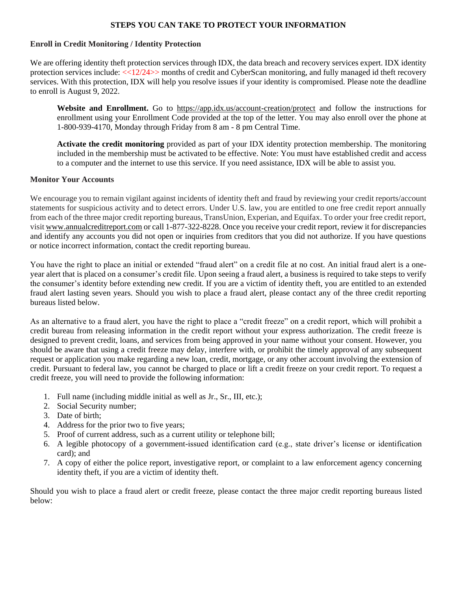## **STEPS YOU CAN TAKE TO PROTECT YOUR INFORMATION**

### **Enroll in Credit Monitoring / Identity Protection**

We are offering identity theft protection services through IDX, the data breach and recovery services expert. IDX identity protection services include: <<12/24>> months of credit and CyberScan monitoring, and fully managed id theft recovery services. With this protection, IDX will help you resolve issues if your identity is compromised. Please note the deadline to enroll is August 9, 2022.

**Website and Enrollment.** Go to <https://app.idx.us/account-creation/protect> and follow the instructions for enrollment using your Enrollment Code provided at the top of the letter. You may also enroll over the phone at 1-800-939-4170, Monday through Friday from 8 am - 8 pm Central Time.

**Activate the credit monitoring** provided as part of your IDX identity protection membership. The monitoring included in the membership must be activated to be effective. Note: You must have established credit and access to a computer and the internet to use this service. If you need assistance, IDX will be able to assist you.

### **Monitor Your Accounts**

We encourage you to remain vigilant against incidents of identity theft and fraud by reviewing your credit reports/account statements for suspicious activity and to detect errors. Under U.S. law, you are entitled to one free credit report annually from each of the three major credit reporting bureaus, TransUnion, Experian, and Equifax. To order your free credit report, visit www.annualcreditreport.com or call 1-877-322-8228. Once you receive your credit report, review it for discrepancies and identify any accounts you did not open or inquiries from creditors that you did not authorize. If you have questions or notice incorrect information, contact the credit reporting bureau.

You have the right to place an initial or extended "fraud alert" on a credit file at no cost. An initial fraud alert is a oneyear alert that is placed on a consumer's credit file. Upon seeing a fraud alert, a business is required to take steps to verify the consumer's identity before extending new credit. If you are a victim of identity theft, you are entitled to an extended fraud alert lasting seven years. Should you wish to place a fraud alert, please contact any of the three credit reporting bureaus listed below.

As an alternative to a fraud alert, you have the right to place a "credit freeze" on a credit report, which will prohibit a credit bureau from releasing information in the credit report without your express authorization. The credit freeze is designed to prevent credit, loans, and services from being approved in your name without your consent. However, you should be aware that using a credit freeze may delay, interfere with, or prohibit the timely approval of any subsequent request or application you make regarding a new loan, credit, mortgage, or any other account involving the extension of credit. Pursuant to federal law, you cannot be charged to place or lift a credit freeze on your credit report. To request a credit freeze, you will need to provide the following information:

- 1. Full name (including middle initial as well as Jr., Sr., III, etc.);
- 2. Social Security number;
- 3. Date of birth;
- 4. Address for the prior two to five years;
- 5. Proof of current address, such as a current utility or telephone bill;
- 6. A legible photocopy of a government-issued identification card (e.g., state driver's license or identification card); and
- 7. A copy of either the police report, investigative report, or complaint to a law enforcement agency concerning identity theft, if you are a victim of identity theft.

Should you wish to place a fraud alert or credit freeze, please contact the three major credit reporting bureaus listed below: